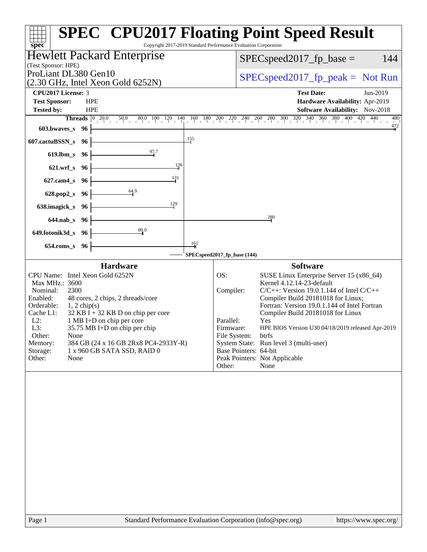| $spec^*$                                                                                                                                                                                                                                                                                                                                                                                                                                        | <b>SPEC<sup>®</sup> CPU2017 Floating Point Speed Result</b><br>Copyright 2017-2019 Standard Performance Evaluation Corporation                                                                                                                                                                                                                                                                                                                                                                                                |
|-------------------------------------------------------------------------------------------------------------------------------------------------------------------------------------------------------------------------------------------------------------------------------------------------------------------------------------------------------------------------------------------------------------------------------------------------|-------------------------------------------------------------------------------------------------------------------------------------------------------------------------------------------------------------------------------------------------------------------------------------------------------------------------------------------------------------------------------------------------------------------------------------------------------------------------------------------------------------------------------|
| <b>Hewlett Packard Enterprise</b><br>(Test Sponsor: HPE)                                                                                                                                                                                                                                                                                                                                                                                        | 144<br>$SPEC speed2017_fp\_base =$                                                                                                                                                                                                                                                                                                                                                                                                                                                                                            |
| ProLiant DL380 Gen10<br>$(2.30 \text{ GHz}, \text{Intel Xeon Gold } 6252\text{N})$                                                                                                                                                                                                                                                                                                                                                              | $SPEC speed2017rfp peak = Not Run$                                                                                                                                                                                                                                                                                                                                                                                                                                                                                            |
| CPU2017 License: 3<br><b>Test Sponsor:</b><br><b>HPE</b><br><b>Tested by:</b><br><b>HPE</b>                                                                                                                                                                                                                                                                                                                                                     | <b>Test Date:</b><br>Jun-2019<br>Hardware Availability: Apr-2019<br>Software Availability: Nov-2018                                                                                                                                                                                                                                                                                                                                                                                                                           |
| <b>Threads</b> $\begin{bmatrix} 0 & 20.0 \end{bmatrix}$<br>603.bwaves_s<br>96<br>607.cactuBSSN_s<br>96                                                                                                                                                                                                                                                                                                                                          | $\frac{50}{10}$ $\frac{80}{10}$ $\frac{100}{10}$ $\frac{120}{1}$ $\frac{140}{1}$ $\frac{160}{1}$ $\frac{180}{10}$ $\frac{200}{10}$ $\frac{220}{1}$ $\frac{240}{10}$ $\frac{260}{10}$ $\frac{300}{10}$ $\frac{320}{1}$ $\frac{340}{10}$ $\frac{360}{10}$ $\frac{380}{10}$ $\frac{400}{10}$ $\frac{420$<br>480<br>$\frac{472}{4}$<br>155                                                                                                                                                                                        |
| $\frac{97.7}{4}$<br>619.lbm_s<br>-96<br>$\frac{136}{4}$<br>$621.wrf$ <sub>S</sub><br>96                                                                                                                                                                                                                                                                                                                                                         |                                                                                                                                                                                                                                                                                                                                                                                                                                                                                                                               |
| 131<br>$627$ .cam $4_s$<br>-96<br>64.9<br>628.pop2_s<br>- 96                                                                                                                                                                                                                                                                                                                                                                                    |                                                                                                                                                                                                                                                                                                                                                                                                                                                                                                                               |
| 129<br>638.imagick_s<br>- 96<br>$644$ .nab s<br>- 96                                                                                                                                                                                                                                                                                                                                                                                            | 280                                                                                                                                                                                                                                                                                                                                                                                                                                                                                                                           |
| 80.0<br>649.fotonik3d_s 96<br>654.roms_s<br>96                                                                                                                                                                                                                                                                                                                                                                                                  | $\frac{161}{4}$<br>SPECspeed2017_fp_base (144)                                                                                                                                                                                                                                                                                                                                                                                                                                                                                |
| <b>Hardware</b><br>CPU Name: Intel Xeon Gold 6252N<br>Max MHz.: 3600<br>2300<br>Nominal:<br>Enabled:<br>48 cores, 2 chips, 2 threads/core<br>Orderable:<br>$1, 2$ chip(s)<br>$32$ KB I + 32 KB D on chip per core<br>Cache L1:<br>$L2$ :<br>1 MB I+D on chip per core<br>L3:<br>35.75 MB I+D on chip per chip<br>Other:<br>None<br>Memory:<br>384 GB (24 x 16 GB 2Rx8 PC4-2933Y-R)<br>Storage:<br>1 x 960 GB SATA SSD, RAID 0<br>Other:<br>None | <b>Software</b><br>OS:<br>SUSE Linux Enterprise Server 15 (x86_64)<br>Kernel 4.12.14-23-default<br>$C/C++$ : Version 19.0.1.144 of Intel $C/C++$<br>Compiler:<br>Compiler Build 20181018 for Linux;<br>Fortran: Version 19.0.1.144 of Intel Fortran<br>Compiler Build 20181018 for Linux<br>Parallel:<br>Yes<br>Firmware:<br>HPE BIOS Version U30 04/18/2019 released Apr-2019<br>File System:<br>btrfs<br>System State: Run level 3 (multi-user)<br>Base Pointers: 64-bit<br>Peak Pointers: Not Applicable<br>Other:<br>None |
|                                                                                                                                                                                                                                                                                                                                                                                                                                                 |                                                                                                                                                                                                                                                                                                                                                                                                                                                                                                                               |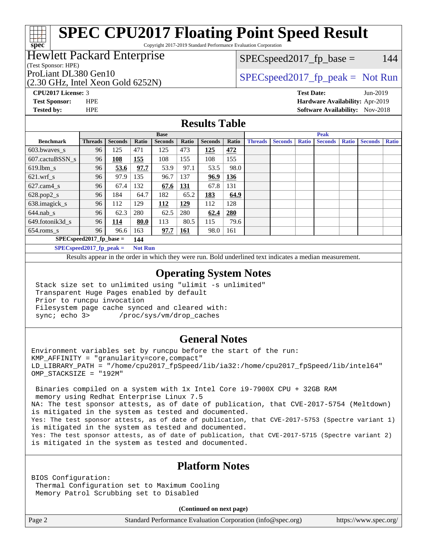Copyright 2017-2019 Standard Performance Evaluation Corporation

## Hewlett Packard Enterprise

(Test Sponsor: HPE)

(2.30 GHz, Intel Xeon Gold 6252N)

 $SPEC speed2017_fp\_base = 144$ 

## ProLiant DL380 Gen10  $SPEC speed2017$  [p\_peak = Not Run

**[spec](http://www.spec.org/)**

**[CPU2017 License:](http://www.spec.org/auto/cpu2017/Docs/result-fields.html#CPU2017License)** 3 **[Test Date:](http://www.spec.org/auto/cpu2017/Docs/result-fields.html#TestDate)** Jun-2019 **[Test Sponsor:](http://www.spec.org/auto/cpu2017/Docs/result-fields.html#TestSponsor)** HPE **[Hardware Availability:](http://www.spec.org/auto/cpu2017/Docs/result-fields.html#HardwareAvailability)** Apr-2019 **[Tested by:](http://www.spec.org/auto/cpu2017/Docs/result-fields.html#Testedby)** HPE **[Software Availability:](http://www.spec.org/auto/cpu2017/Docs/result-fields.html#SoftwareAvailability)** Nov-2018

## **[Results Table](http://www.spec.org/auto/cpu2017/Docs/result-fields.html#ResultsTable)**

|                                            | <b>Base</b>    |                   |       |                | <b>Peak</b> |                |       |                |                |              |                |              |                |              |
|--------------------------------------------|----------------|-------------------|-------|----------------|-------------|----------------|-------|----------------|----------------|--------------|----------------|--------------|----------------|--------------|
| <b>Benchmark</b>                           | <b>Threads</b> | <b>Seconds</b>    | Ratio | <b>Seconds</b> | Ratio       | <b>Seconds</b> | Ratio | <b>Threads</b> | <b>Seconds</b> | <b>Ratio</b> | <b>Seconds</b> | <b>Ratio</b> | <b>Seconds</b> | <b>Ratio</b> |
| $603.bwaves$ s                             | 96             | 125               | 471   | 125            | 473         | 125            | 472   |                |                |              |                |              |                |              |
| 607.cactuBSSN s                            | 96             | $\underline{108}$ | 155   | 108            | 155         | 108            | 155   |                |                |              |                |              |                |              |
| $619.$ lbm_s                               | 96             | 53.6              | 97.7  | 53.9           | 97.1        | 53.5           | 98.0  |                |                |              |                |              |                |              |
| $621$ .wrf s                               | 96             | 97.9              | 135   | 96.7           | 137         | 96.9           | 136   |                |                |              |                |              |                |              |
| $627$ .cam $4$ <sub>S</sub>                | 96             | 67.4              | 132   | 67.6           | <b>131</b>  | 67.8           | 131   |                |                |              |                |              |                |              |
| $628.pop2_s$                               | 96             | 184               | 64.7  | 182            | 65.2        | 183            | 64.9  |                |                |              |                |              |                |              |
| 638.imagick_s                              | 96             | 112               | 129   | 112            | 129         | 112            | 128   |                |                |              |                |              |                |              |
| $644$ .nab s                               | 96             | 62.3              | 280   | 62.5           | 280         | 62.4           | 280   |                |                |              |                |              |                |              |
| 649.fotonik3d s                            | 96             | 114               | 80.0  | 113            | 80.5        | 115            | 79.6  |                |                |              |                |              |                |              |
| $654$ .roms s                              | 96             | 96.6              | 163   | 97.7           | <b>161</b>  | 98.0           | 161   |                |                |              |                |              |                |              |
| $SPEC speed2017$ fp base =<br>144          |                |                   |       |                |             |                |       |                |                |              |                |              |                |              |
| $CDFC_{\text{cmod}}$ $42017$ for negle $-$ |                |                   |       | $N \sim 1$     |             |                |       |                |                |              |                |              |                |              |

**[SPECspeed2017\\_fp\\_peak =](http://www.spec.org/auto/cpu2017/Docs/result-fields.html#SPECspeed2017fppeak) Not Run**

Results appear in the [order in which they were run.](http://www.spec.org/auto/cpu2017/Docs/result-fields.html#RunOrder) Bold underlined text [indicates a median measurement](http://www.spec.org/auto/cpu2017/Docs/result-fields.html#Median).

### **[Operating System Notes](http://www.spec.org/auto/cpu2017/Docs/result-fields.html#OperatingSystemNotes)**

 Stack size set to unlimited using "ulimit -s unlimited" Transparent Huge Pages enabled by default Prior to runcpu invocation Filesystem page cache synced and cleared with: sync; echo 3> /proc/sys/vm/drop\_caches

### **[General Notes](http://www.spec.org/auto/cpu2017/Docs/result-fields.html#GeneralNotes)**

Environment variables set by runcpu before the start of the run: KMP\_AFFINITY = "granularity=core,compact" LD\_LIBRARY\_PATH = "/home/cpu2017\_fpSpeed/lib/ia32:/home/cpu2017\_fpSpeed/lib/intel64" OMP\_STACKSIZE = "192M"

 Binaries compiled on a system with 1x Intel Core i9-7900X CPU + 32GB RAM memory using Redhat Enterprise Linux 7.5 NA: The test sponsor attests, as of date of publication, that CVE-2017-5754 (Meltdown) is mitigated in the system as tested and documented. Yes: The test sponsor attests, as of date of publication, that CVE-2017-5753 (Spectre variant 1) is mitigated in the system as tested and documented. Yes: The test sponsor attests, as of date of publication, that CVE-2017-5715 (Spectre variant 2) is mitigated in the system as tested and documented.

## **[Platform Notes](http://www.spec.org/auto/cpu2017/Docs/result-fields.html#PlatformNotes)**

BIOS Configuration: Thermal Configuration set to Maximum Cooling Memory Patrol Scrubbing set to Disabled

**(Continued on next page)**

Page 2 Standard Performance Evaluation Corporation [\(info@spec.org\)](mailto:info@spec.org) <https://www.spec.org/>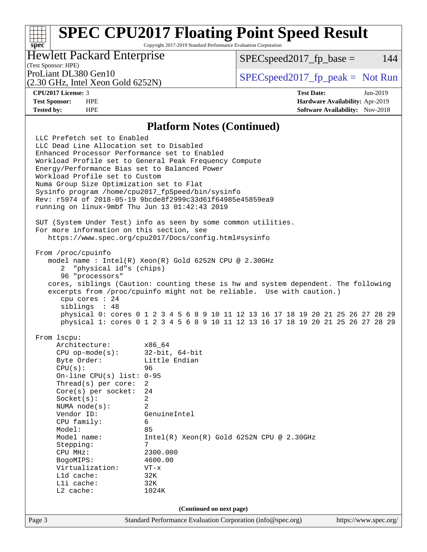Copyright 2017-2019 Standard Performance Evaluation Corporation

## Hewlett Packard Enterprise

 $SPEC speed2017<sub>fp</sub> base = 144$ 

# (Test Sponsor: HPE)

(2.30 GHz, Intel Xeon Gold 6252N)

ProLiant DL380 Gen10  $SPEC speed2017$  [p\_peak = Not Run

**[spec](http://www.spec.org/)**

**[CPU2017 License:](http://www.spec.org/auto/cpu2017/Docs/result-fields.html#CPU2017License)** 3 **[Test Date:](http://www.spec.org/auto/cpu2017/Docs/result-fields.html#TestDate)** Jun-2019 **[Test Sponsor:](http://www.spec.org/auto/cpu2017/Docs/result-fields.html#TestSponsor)** HPE **[Hardware Availability:](http://www.spec.org/auto/cpu2017/Docs/result-fields.html#HardwareAvailability)** Apr-2019 **[Tested by:](http://www.spec.org/auto/cpu2017/Docs/result-fields.html#Testedby)** HPE **[Software Availability:](http://www.spec.org/auto/cpu2017/Docs/result-fields.html#SoftwareAvailability)** Nov-2018

#### **[Platform Notes \(Continued\)](http://www.spec.org/auto/cpu2017/Docs/result-fields.html#PlatformNotes)**

Page 3 Standard Performance Evaluation Corporation [\(info@spec.org\)](mailto:info@spec.org) <https://www.spec.org/> LLC Prefetch set to Enabled LLC Dead Line Allocation set to Disabled Enhanced Processor Performance set to Enabled Workload Profile set to General Peak Frequency Compute Energy/Performance Bias set to Balanced Power Workload Profile set to Custom Numa Group Size Optimization set to Flat Sysinfo program /home/cpu2017\_fpSpeed/bin/sysinfo Rev: r5974 of 2018-05-19 9bcde8f2999c33d61f64985e45859ea9 running on linux-9mbf Thu Jun 13 01:42:43 2019 SUT (System Under Test) info as seen by some common utilities. For more information on this section, see <https://www.spec.org/cpu2017/Docs/config.html#sysinfo> From /proc/cpuinfo model name : Intel(R) Xeon(R) Gold 6252N CPU @ 2.30GHz 2 "physical id"s (chips) 96 "processors" cores, siblings (Caution: counting these is hw and system dependent. The following excerpts from /proc/cpuinfo might not be reliable. Use with caution.) cpu cores : 24 siblings : 48 physical 0: cores 0 1 2 3 4 5 6 8 9 10 11 12 13 16 17 18 19 20 21 25 26 27 28 29 physical 1: cores 0 1 2 3 4 5 6 8 9 10 11 12 13 16 17 18 19 20 21 25 26 27 28 29 From lscpu: Architecture: x86\_64<br>CPU op-mode(s): 32-bit, 64-bit CPU op-mode $(s)$ : Byte Order: Little Endian CPU(s): 96 On-line CPU(s) list: 0-95 Thread(s) per core: 2 Core(s) per socket: 24 Socket(s): 2 NUMA node(s): 2 Vendor ID: GenuineIntel CPU family: 6 Model: 85 Model name: Intel(R) Xeon(R) Gold 6252N CPU @ 2.30GHz Stepping: 7 CPU MHz: 2300.000 BogoMIPS: 4600.00 Virtualization: VT-x L1d cache: 32K L1i cache: 32K L2 cache: 1024K **(Continued on next page)**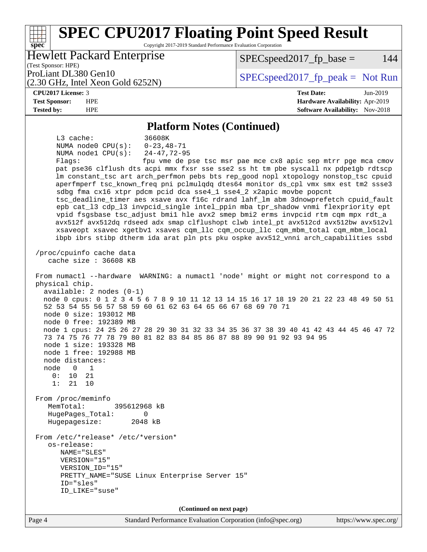#### **[spec](http://www.spec.org/) [SPEC CPU2017 Floating Point Speed Result](http://www.spec.org/auto/cpu2017/Docs/result-fields.html#SPECCPU2017FloatingPointSpeedResult)** Copyright 2017-2019 Standard Performance Evaluation Corporation (Test Sponsor: HPE) Hewlett Packard Enterprise (2.30 GHz, Intel Xeon Gold 6252N) ProLiant DL380 Gen10  $SPEC speed2017$  [p\_peak = Not Run  $SPEC speed2017<sub>fp</sub> base = 144$

#### **[CPU2017 License:](http://www.spec.org/auto/cpu2017/Docs/result-fields.html#CPU2017License)** 3 **[Test Date:](http://www.spec.org/auto/cpu2017/Docs/result-fields.html#TestDate)** Jun-2019

**[Test Sponsor:](http://www.spec.org/auto/cpu2017/Docs/result-fields.html#TestSponsor)** HPE **[Hardware Availability:](http://www.spec.org/auto/cpu2017/Docs/result-fields.html#HardwareAvailability)** Apr-2019 **[Tested by:](http://www.spec.org/auto/cpu2017/Docs/result-fields.html#Testedby)** HPE **[Software Availability:](http://www.spec.org/auto/cpu2017/Docs/result-fields.html#SoftwareAvailability)** Nov-2018

#### **[Platform Notes \(Continued\)](http://www.spec.org/auto/cpu2017/Docs/result-fields.html#PlatformNotes)**

 L3 cache: 36608K NUMA node0 CPU(s): 0-23,48-71 NUMA node1 CPU(s): 24-47,72-95 Flags: fpu vme de pse tsc msr pae mce cx8 apic sep mtrr pge mca cmov pat pse36 clflush dts acpi mmx fxsr sse sse2 ss ht tm pbe syscall nx pdpe1gb rdtscp lm constant\_tsc art arch\_perfmon pebs bts rep\_good nopl xtopology nonstop\_tsc cpuid aperfmperf tsc\_known\_freq pni pclmulqdq dtes64 monitor ds\_cpl vmx smx est tm2 ssse3 sdbg fma cx16 xtpr pdcm pcid dca sse4\_1 sse4\_2 x2apic movbe popcnt tsc\_deadline\_timer aes xsave avx f16c rdrand lahf\_lm abm 3dnowprefetch cpuid\_fault epb cat\_l3 cdp\_l3 invpcid\_single intel\_ppin mba tpr\_shadow vnmi flexpriority ept vpid fsgsbase tsc\_adjust bmi1 hle avx2 smep bmi2 erms invpcid rtm cqm mpx rdt\_a avx512f avx512dq rdseed adx smap clflushopt clwb intel\_pt avx512cd avx512bw avx512vl xsaveopt xsavec xgetbv1 xsaves cqm\_llc cqm\_occup\_llc cqm\_mbm\_total cqm\_mbm\_local ibpb ibrs stibp dtherm ida arat pln pts pku ospke avx512\_vnni arch\_capabilities ssbd /proc/cpuinfo cache data cache size : 36608 KB From numactl --hardware WARNING: a numactl 'node' might or might not correspond to a physical chip. available: 2 nodes (0-1) node 0 cpus: 0 1 2 3 4 5 6 7 8 9 10 11 12 13 14 15 16 17 18 19 20 21 22 23 48 49 50 51 52 53 54 55 56 57 58 59 60 61 62 63 64 65 66 67 68 69 70 71 node 0 size: 193012 MB node 0 free: 192389 MB node 1 cpus: 24 25 26 27 28 29 30 31 32 33 34 35 36 37 38 39 40 41 42 43 44 45 46 47 72 73 74 75 76 77 78 79 80 81 82 83 84 85 86 87 88 89 90 91 92 93 94 95 node 1 size: 193328 MB node 1 free: 192988 MB node distances: node 0 1  $0: 10 21$  1: 21 10 From /proc/meminfo MemTotal: 395612968 kB HugePages\_Total: 0 Hugepagesize: 2048 kB From /etc/\*release\* /etc/\*version\* os-release: NAME="SLES" VERSION="15" VERSION\_ID="15" PRETTY\_NAME="SUSE Linux Enterprise Server 15" ID="sles" ID\_LIKE="suse" **(Continued on next page)**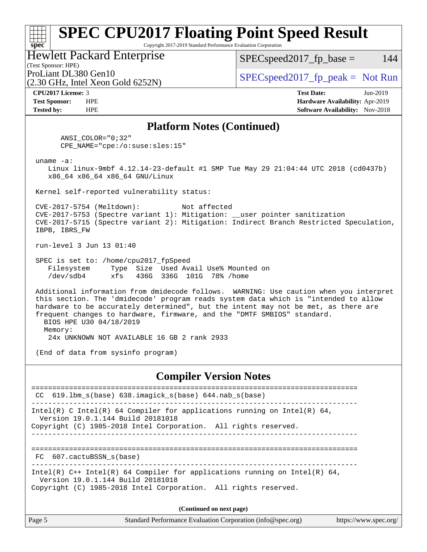#### **[spec](http://www.spec.org/) [SPEC CPU2017 Floating Point Speed Result](http://www.spec.org/auto/cpu2017/Docs/result-fields.html#SPECCPU2017FloatingPointSpeedResult)** Copyright 2017-2019 Standard Performance Evaluation Corporation (Test Sponsor: HPE) Hewlett Packard Enterprise ProLiant DL380 Gen10  $SPEC speed2017_f$   $p\_peak = Not Run$  $SPEC speed2017_fp\_base = 144$

(2.30 GHz, Intel Xeon Gold 6252N)

**[CPU2017 License:](http://www.spec.org/auto/cpu2017/Docs/result-fields.html#CPU2017License)** 3 **[Test Date:](http://www.spec.org/auto/cpu2017/Docs/result-fields.html#TestDate)** Jun-2019 **[Test Sponsor:](http://www.spec.org/auto/cpu2017/Docs/result-fields.html#TestSponsor)** HPE **[Hardware Availability:](http://www.spec.org/auto/cpu2017/Docs/result-fields.html#HardwareAvailability)** Apr-2019 **[Tested by:](http://www.spec.org/auto/cpu2017/Docs/result-fields.html#Testedby)** HPE **[Software Availability:](http://www.spec.org/auto/cpu2017/Docs/result-fields.html#SoftwareAvailability)** Nov-2018

#### **[Platform Notes \(Continued\)](http://www.spec.org/auto/cpu2017/Docs/result-fields.html#PlatformNotes)**

 ANSI\_COLOR="0;32" CPE\_NAME="cpe:/o:suse:sles:15"

uname -a:

 Linux linux-9mbf 4.12.14-23-default #1 SMP Tue May 29 21:04:44 UTC 2018 (cd0437b) x86\_64 x86\_64 x86\_64 GNU/Linux

Kernel self-reported vulnerability status:

 CVE-2017-5754 (Meltdown): Not affected CVE-2017-5753 (Spectre variant 1): Mitigation: \_\_user pointer sanitization CVE-2017-5715 (Spectre variant 2): Mitigation: Indirect Branch Restricted Speculation, IBPB, IBRS\_FW

run-level 3 Jun 13 01:40

 SPEC is set to: /home/cpu2017\_fpSpeed Filesystem Type Size Used Avail Use% Mounted on /dev/sdb4 xfs 436G 336G 101G 78% /home

 Additional information from dmidecode follows. WARNING: Use caution when you interpret this section. The 'dmidecode' program reads system data which is "intended to allow hardware to be accurately determined", but the intent may not be met, as there are frequent changes to hardware, firmware, and the "DMTF SMBIOS" standard. BIOS HPE U30 04/18/2019 Memory:

24x UNKNOWN NOT AVAILABLE 16 GB 2 rank 2933

(End of data from sysinfo program)

### **[Compiler Version Notes](http://www.spec.org/auto/cpu2017/Docs/result-fields.html#CompilerVersionNotes)**

============================================================================== CC 619.lbm\_s(base) 638.imagick\_s(base) 644.nab\_s(base) ------------------------------------------------------------------------------ Intel(R) C Intel(R) 64 Compiler for applications running on Intel(R)  $64$ , Version 19.0.1.144 Build 20181018 Copyright (C) 1985-2018 Intel Corporation. All rights reserved. ------------------------------------------------------------------------------ ============================================================================== FC 607.cactuBSSN\_s(base) ------------------------------------------------------------------------------ Intel(R) C++ Intel(R) 64 Compiler for applications running on Intel(R) 64, Version 19.0.1.144 Build 20181018 Copyright (C) 1985-2018 Intel Corporation. All rights reserved. **(Continued on next page)**

| Page 5 | Standard Performance Evaluation Corporation (info@spec.org) | https://www.spec.org/ |
|--------|-------------------------------------------------------------|-----------------------|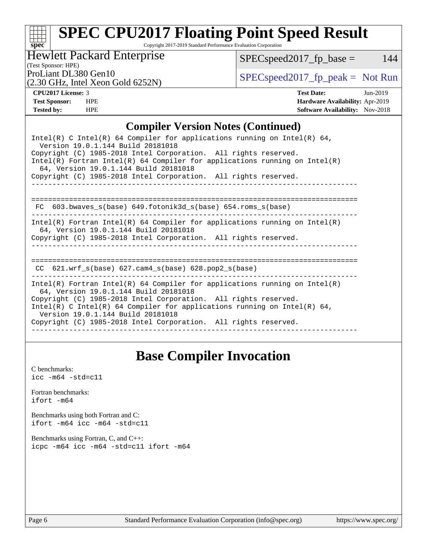Copyright 2017-2019 Standard Performance Evaluation Corporation

Hewlett Packard Enterprise

 $SPEC speed2017_fp\_base = 144$ 

(Test Sponsor: HPE)

(2.30 GHz, Intel Xeon Gold 6252N)

ProLiant DL380 Gen10<br>  $SPEC speed2017$  [p\_peak = Not Run

**[spec](http://www.spec.org/)**

**[CPU2017 License:](http://www.spec.org/auto/cpu2017/Docs/result-fields.html#CPU2017License)** 3 **[Test Date:](http://www.spec.org/auto/cpu2017/Docs/result-fields.html#TestDate)** Jun-2019 **[Test Sponsor:](http://www.spec.org/auto/cpu2017/Docs/result-fields.html#TestSponsor)** HPE **[Hardware Availability:](http://www.spec.org/auto/cpu2017/Docs/result-fields.html#HardwareAvailability)** Apr-2019 **[Tested by:](http://www.spec.org/auto/cpu2017/Docs/result-fields.html#Testedby)** HPE **HPE [Software Availability:](http://www.spec.org/auto/cpu2017/Docs/result-fields.html#SoftwareAvailability)** Nov-2018

### **[Compiler Version Notes \(Continued\)](http://www.spec.org/auto/cpu2017/Docs/result-fields.html#CompilerVersionNotes)**

| Intel(R) C Intel(R) 64 Compiler for applications running on Intel(R) 64,<br>Version 19.0.1.144 Build 20181018<br>Copyright (C) 1985-2018 Intel Corporation. All rights reserved.<br>Intel(R) Fortran Intel(R) 64 Compiler for applications running on Intel(R)<br>64, Version 19.0.1.144 Build 20181018<br>Copyright (C) 1985-2018 Intel Corporation. All rights reserved. |
|----------------------------------------------------------------------------------------------------------------------------------------------------------------------------------------------------------------------------------------------------------------------------------------------------------------------------------------------------------------------------|
|                                                                                                                                                                                                                                                                                                                                                                            |
| FC $603.bwaves$ s(base) $649.fotonik3d$ s(base) $654.roms$ s(base)                                                                                                                                                                                                                                                                                                         |
| Intel(R) Fortran Intel(R) 64 Compiler for applications running on Intel(R)<br>64, Version 19.0.1.144 Build 20181018<br>Copyright (C) 1985-2018 Intel Corporation. All rights reserved.                                                                                                                                                                                     |
| 621.wrf $s(base)$ 627.cam4 $s(base)$ 628.pop2 $s(base)$<br>CC.                                                                                                                                                                                                                                                                                                             |
| Intel(R) Fortran Intel(R) 64 Compiler for applications running on Intel(R)<br>64, Version 19.0.1.144 Build 20181018<br>Copyright (C) 1985-2018 Intel Corporation. All rights reserved.<br>Intel(R) C Intel(R) 64 Compiler for applications running on Intel(R) 64,<br>Version 19.0.1.144 Build 20181018<br>Copyright (C) 1985-2018 Intel Corporation. All rights reserved. |

## **[Base Compiler Invocation](http://www.spec.org/auto/cpu2017/Docs/result-fields.html#BaseCompilerInvocation)**

[C benchmarks](http://www.spec.org/auto/cpu2017/Docs/result-fields.html#Cbenchmarks):  $\text{icc}$  -m64 -std=c11 [Fortran benchmarks](http://www.spec.org/auto/cpu2017/Docs/result-fields.html#Fortranbenchmarks): [ifort -m64](http://www.spec.org/cpu2017/results/res2019q3/cpu2017-20190709-16077.flags.html#user_FCbase_intel_ifort_64bit_24f2bb282fbaeffd6157abe4f878425411749daecae9a33200eee2bee2fe76f3b89351d69a8130dd5949958ce389cf37ff59a95e7a40d588e8d3a57e0c3fd751) [Benchmarks using both Fortran and C](http://www.spec.org/auto/cpu2017/Docs/result-fields.html#BenchmarksusingbothFortranandC): [ifort -m64](http://www.spec.org/cpu2017/results/res2019q3/cpu2017-20190709-16077.flags.html#user_CC_FCbase_intel_ifort_64bit_24f2bb282fbaeffd6157abe4f878425411749daecae9a33200eee2bee2fe76f3b89351d69a8130dd5949958ce389cf37ff59a95e7a40d588e8d3a57e0c3fd751) [icc -m64 -std=c11](http://www.spec.org/cpu2017/results/res2019q3/cpu2017-20190709-16077.flags.html#user_CC_FCbase_intel_icc_64bit_c11_33ee0cdaae7deeeab2a9725423ba97205ce30f63b9926c2519791662299b76a0318f32ddfffdc46587804de3178b4f9328c46fa7c2b0cd779d7a61945c91cd35) [Benchmarks using Fortran, C, and C++:](http://www.spec.org/auto/cpu2017/Docs/result-fields.html#BenchmarksusingFortranCandCXX) [icpc -m64](http://www.spec.org/cpu2017/results/res2019q3/cpu2017-20190709-16077.flags.html#user_CC_CXX_FCbase_intel_icpc_64bit_4ecb2543ae3f1412ef961e0650ca070fec7b7afdcd6ed48761b84423119d1bf6bdf5cad15b44d48e7256388bc77273b966e5eb805aefd121eb22e9299b2ec9d9) [icc -m64 -std=c11](http://www.spec.org/cpu2017/results/res2019q3/cpu2017-20190709-16077.flags.html#user_CC_CXX_FCbase_intel_icc_64bit_c11_33ee0cdaae7deeeab2a9725423ba97205ce30f63b9926c2519791662299b76a0318f32ddfffdc46587804de3178b4f9328c46fa7c2b0cd779d7a61945c91cd35) [ifort -m64](http://www.spec.org/cpu2017/results/res2019q3/cpu2017-20190709-16077.flags.html#user_CC_CXX_FCbase_intel_ifort_64bit_24f2bb282fbaeffd6157abe4f878425411749daecae9a33200eee2bee2fe76f3b89351d69a8130dd5949958ce389cf37ff59a95e7a40d588e8d3a57e0c3fd751)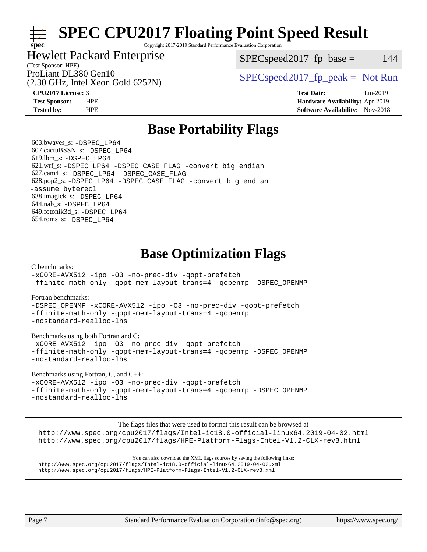Copyright 2017-2019 Standard Performance Evaluation Corporation

## Hewlett Packard Enterprise

 $SPEC speed2017<sub>fp</sub> base = 144$ 

# (Test Sponsor: HPE)

(2.30 GHz, Intel Xeon Gold 6252N)

ProLiant DL380 Gen10  $SPEC speed2017$  [p\_peak = Not Run

**[spec](http://www.spec.org/)**

**[CPU2017 License:](http://www.spec.org/auto/cpu2017/Docs/result-fields.html#CPU2017License)** 3 **[Test Date:](http://www.spec.org/auto/cpu2017/Docs/result-fields.html#TestDate)** Jun-2019 **[Test Sponsor:](http://www.spec.org/auto/cpu2017/Docs/result-fields.html#TestSponsor)** HPE **[Hardware Availability:](http://www.spec.org/auto/cpu2017/Docs/result-fields.html#HardwareAvailability)** Apr-2019 **[Tested by:](http://www.spec.org/auto/cpu2017/Docs/result-fields.html#Testedby)** HPE **[Software Availability:](http://www.spec.org/auto/cpu2017/Docs/result-fields.html#SoftwareAvailability)** Nov-2018

## **[Base Portability Flags](http://www.spec.org/auto/cpu2017/Docs/result-fields.html#BasePortabilityFlags)**

 603.bwaves\_s: [-DSPEC\\_LP64](http://www.spec.org/cpu2017/results/res2019q3/cpu2017-20190709-16077.flags.html#suite_basePORTABILITY603_bwaves_s_DSPEC_LP64) 607.cactuBSSN\_s: [-DSPEC\\_LP64](http://www.spec.org/cpu2017/results/res2019q3/cpu2017-20190709-16077.flags.html#suite_basePORTABILITY607_cactuBSSN_s_DSPEC_LP64) 619.lbm\_s: [-DSPEC\\_LP64](http://www.spec.org/cpu2017/results/res2019q3/cpu2017-20190709-16077.flags.html#suite_basePORTABILITY619_lbm_s_DSPEC_LP64) 621.wrf\_s: [-DSPEC\\_LP64](http://www.spec.org/cpu2017/results/res2019q3/cpu2017-20190709-16077.flags.html#suite_basePORTABILITY621_wrf_s_DSPEC_LP64) [-DSPEC\\_CASE\\_FLAG](http://www.spec.org/cpu2017/results/res2019q3/cpu2017-20190709-16077.flags.html#b621.wrf_s_baseCPORTABILITY_DSPEC_CASE_FLAG) [-convert big\\_endian](http://www.spec.org/cpu2017/results/res2019q3/cpu2017-20190709-16077.flags.html#user_baseFPORTABILITY621_wrf_s_convert_big_endian_c3194028bc08c63ac5d04de18c48ce6d347e4e562e8892b8bdbdc0214820426deb8554edfa529a3fb25a586e65a3d812c835984020483e7e73212c4d31a38223) 627.cam4\_s: [-DSPEC\\_LP64](http://www.spec.org/cpu2017/results/res2019q3/cpu2017-20190709-16077.flags.html#suite_basePORTABILITY627_cam4_s_DSPEC_LP64) [-DSPEC\\_CASE\\_FLAG](http://www.spec.org/cpu2017/results/res2019q3/cpu2017-20190709-16077.flags.html#b627.cam4_s_baseCPORTABILITY_DSPEC_CASE_FLAG) 628.pop2\_s: [-DSPEC\\_LP64](http://www.spec.org/cpu2017/results/res2019q3/cpu2017-20190709-16077.flags.html#suite_basePORTABILITY628_pop2_s_DSPEC_LP64) [-DSPEC\\_CASE\\_FLAG](http://www.spec.org/cpu2017/results/res2019q3/cpu2017-20190709-16077.flags.html#b628.pop2_s_baseCPORTABILITY_DSPEC_CASE_FLAG) [-convert big\\_endian](http://www.spec.org/cpu2017/results/res2019q3/cpu2017-20190709-16077.flags.html#user_baseFPORTABILITY628_pop2_s_convert_big_endian_c3194028bc08c63ac5d04de18c48ce6d347e4e562e8892b8bdbdc0214820426deb8554edfa529a3fb25a586e65a3d812c835984020483e7e73212c4d31a38223) [-assume byterecl](http://www.spec.org/cpu2017/results/res2019q3/cpu2017-20190709-16077.flags.html#user_baseFPORTABILITY628_pop2_s_assume_byterecl_7e47d18b9513cf18525430bbf0f2177aa9bf368bc7a059c09b2c06a34b53bd3447c950d3f8d6c70e3faf3a05c8557d66a5798b567902e8849adc142926523472) 638.imagick\_s: [-DSPEC\\_LP64](http://www.spec.org/cpu2017/results/res2019q3/cpu2017-20190709-16077.flags.html#suite_basePORTABILITY638_imagick_s_DSPEC_LP64) 644.nab\_s: [-DSPEC\\_LP64](http://www.spec.org/cpu2017/results/res2019q3/cpu2017-20190709-16077.flags.html#suite_basePORTABILITY644_nab_s_DSPEC_LP64) 649.fotonik3d\_s: [-DSPEC\\_LP64](http://www.spec.org/cpu2017/results/res2019q3/cpu2017-20190709-16077.flags.html#suite_basePORTABILITY649_fotonik3d_s_DSPEC_LP64) 654.roms\_s: [-DSPEC\\_LP64](http://www.spec.org/cpu2017/results/res2019q3/cpu2017-20190709-16077.flags.html#suite_basePORTABILITY654_roms_s_DSPEC_LP64)

# **[Base Optimization Flags](http://www.spec.org/auto/cpu2017/Docs/result-fields.html#BaseOptimizationFlags)**

#### [C benchmarks](http://www.spec.org/auto/cpu2017/Docs/result-fields.html#Cbenchmarks):

[-xCORE-AVX512](http://www.spec.org/cpu2017/results/res2019q3/cpu2017-20190709-16077.flags.html#user_CCbase_f-xCORE-AVX512) [-ipo](http://www.spec.org/cpu2017/results/res2019q3/cpu2017-20190709-16077.flags.html#user_CCbase_f-ipo) [-O3](http://www.spec.org/cpu2017/results/res2019q3/cpu2017-20190709-16077.flags.html#user_CCbase_f-O3) [-no-prec-div](http://www.spec.org/cpu2017/results/res2019q3/cpu2017-20190709-16077.flags.html#user_CCbase_f-no-prec-div) [-qopt-prefetch](http://www.spec.org/cpu2017/results/res2019q3/cpu2017-20190709-16077.flags.html#user_CCbase_f-qopt-prefetch) [-ffinite-math-only](http://www.spec.org/cpu2017/results/res2019q3/cpu2017-20190709-16077.flags.html#user_CCbase_f_finite_math_only_cb91587bd2077682c4b38af759c288ed7c732db004271a9512da14a4f8007909a5f1427ecbf1a0fb78ff2a814402c6114ac565ca162485bbcae155b5e4258871) [-qopt-mem-layout-trans=4](http://www.spec.org/cpu2017/results/res2019q3/cpu2017-20190709-16077.flags.html#user_CCbase_f-qopt-mem-layout-trans_fa39e755916c150a61361b7846f310bcdf6f04e385ef281cadf3647acec3f0ae266d1a1d22d972a7087a248fd4e6ca390a3634700869573d231a252c784941a8) [-qopenmp](http://www.spec.org/cpu2017/results/res2019q3/cpu2017-20190709-16077.flags.html#user_CCbase_qopenmp_16be0c44f24f464004c6784a7acb94aca937f053568ce72f94b139a11c7c168634a55f6653758ddd83bcf7b8463e8028bb0b48b77bcddc6b78d5d95bb1df2967) [-DSPEC\\_OPENMP](http://www.spec.org/cpu2017/results/res2019q3/cpu2017-20190709-16077.flags.html#suite_CCbase_DSPEC_OPENMP)

#### [Fortran benchmarks](http://www.spec.org/auto/cpu2017/Docs/result-fields.html#Fortranbenchmarks):

[-DSPEC\\_OPENMP](http://www.spec.org/cpu2017/results/res2019q3/cpu2017-20190709-16077.flags.html#suite_FCbase_DSPEC_OPENMP) [-xCORE-AVX512](http://www.spec.org/cpu2017/results/res2019q3/cpu2017-20190709-16077.flags.html#user_FCbase_f-xCORE-AVX512) [-ipo](http://www.spec.org/cpu2017/results/res2019q3/cpu2017-20190709-16077.flags.html#user_FCbase_f-ipo) [-O3](http://www.spec.org/cpu2017/results/res2019q3/cpu2017-20190709-16077.flags.html#user_FCbase_f-O3) [-no-prec-div](http://www.spec.org/cpu2017/results/res2019q3/cpu2017-20190709-16077.flags.html#user_FCbase_f-no-prec-div) [-qopt-prefetch](http://www.spec.org/cpu2017/results/res2019q3/cpu2017-20190709-16077.flags.html#user_FCbase_f-qopt-prefetch) [-ffinite-math-only](http://www.spec.org/cpu2017/results/res2019q3/cpu2017-20190709-16077.flags.html#user_FCbase_f_finite_math_only_cb91587bd2077682c4b38af759c288ed7c732db004271a9512da14a4f8007909a5f1427ecbf1a0fb78ff2a814402c6114ac565ca162485bbcae155b5e4258871) [-qopt-mem-layout-trans=4](http://www.spec.org/cpu2017/results/res2019q3/cpu2017-20190709-16077.flags.html#user_FCbase_f-qopt-mem-layout-trans_fa39e755916c150a61361b7846f310bcdf6f04e385ef281cadf3647acec3f0ae266d1a1d22d972a7087a248fd4e6ca390a3634700869573d231a252c784941a8) [-qopenmp](http://www.spec.org/cpu2017/results/res2019q3/cpu2017-20190709-16077.flags.html#user_FCbase_qopenmp_16be0c44f24f464004c6784a7acb94aca937f053568ce72f94b139a11c7c168634a55f6653758ddd83bcf7b8463e8028bb0b48b77bcddc6b78d5d95bb1df2967) [-nostandard-realloc-lhs](http://www.spec.org/cpu2017/results/res2019q3/cpu2017-20190709-16077.flags.html#user_FCbase_f_2003_std_realloc_82b4557e90729c0f113870c07e44d33d6f5a304b4f63d4c15d2d0f1fab99f5daaed73bdb9275d9ae411527f28b936061aa8b9c8f2d63842963b95c9dd6426b8a)

#### [Benchmarks using both Fortran and C](http://www.spec.org/auto/cpu2017/Docs/result-fields.html#BenchmarksusingbothFortranandC):

[-xCORE-AVX512](http://www.spec.org/cpu2017/results/res2019q3/cpu2017-20190709-16077.flags.html#user_CC_FCbase_f-xCORE-AVX512) [-ipo](http://www.spec.org/cpu2017/results/res2019q3/cpu2017-20190709-16077.flags.html#user_CC_FCbase_f-ipo) [-O3](http://www.spec.org/cpu2017/results/res2019q3/cpu2017-20190709-16077.flags.html#user_CC_FCbase_f-O3) [-no-prec-div](http://www.spec.org/cpu2017/results/res2019q3/cpu2017-20190709-16077.flags.html#user_CC_FCbase_f-no-prec-div) [-qopt-prefetch](http://www.spec.org/cpu2017/results/res2019q3/cpu2017-20190709-16077.flags.html#user_CC_FCbase_f-qopt-prefetch) [-ffinite-math-only](http://www.spec.org/cpu2017/results/res2019q3/cpu2017-20190709-16077.flags.html#user_CC_FCbase_f_finite_math_only_cb91587bd2077682c4b38af759c288ed7c732db004271a9512da14a4f8007909a5f1427ecbf1a0fb78ff2a814402c6114ac565ca162485bbcae155b5e4258871) [-qopt-mem-layout-trans=4](http://www.spec.org/cpu2017/results/res2019q3/cpu2017-20190709-16077.flags.html#user_CC_FCbase_f-qopt-mem-layout-trans_fa39e755916c150a61361b7846f310bcdf6f04e385ef281cadf3647acec3f0ae266d1a1d22d972a7087a248fd4e6ca390a3634700869573d231a252c784941a8) [-qopenmp](http://www.spec.org/cpu2017/results/res2019q3/cpu2017-20190709-16077.flags.html#user_CC_FCbase_qopenmp_16be0c44f24f464004c6784a7acb94aca937f053568ce72f94b139a11c7c168634a55f6653758ddd83bcf7b8463e8028bb0b48b77bcddc6b78d5d95bb1df2967) [-DSPEC\\_OPENMP](http://www.spec.org/cpu2017/results/res2019q3/cpu2017-20190709-16077.flags.html#suite_CC_FCbase_DSPEC_OPENMP) [-nostandard-realloc-lhs](http://www.spec.org/cpu2017/results/res2019q3/cpu2017-20190709-16077.flags.html#user_CC_FCbase_f_2003_std_realloc_82b4557e90729c0f113870c07e44d33d6f5a304b4f63d4c15d2d0f1fab99f5daaed73bdb9275d9ae411527f28b936061aa8b9c8f2d63842963b95c9dd6426b8a)

#### [Benchmarks using Fortran, C, and C++:](http://www.spec.org/auto/cpu2017/Docs/result-fields.html#BenchmarksusingFortranCandCXX)

[-xCORE-AVX512](http://www.spec.org/cpu2017/results/res2019q3/cpu2017-20190709-16077.flags.html#user_CC_CXX_FCbase_f-xCORE-AVX512) [-ipo](http://www.spec.org/cpu2017/results/res2019q3/cpu2017-20190709-16077.flags.html#user_CC_CXX_FCbase_f-ipo) [-O3](http://www.spec.org/cpu2017/results/res2019q3/cpu2017-20190709-16077.flags.html#user_CC_CXX_FCbase_f-O3) [-no-prec-div](http://www.spec.org/cpu2017/results/res2019q3/cpu2017-20190709-16077.flags.html#user_CC_CXX_FCbase_f-no-prec-div) [-qopt-prefetch](http://www.spec.org/cpu2017/results/res2019q3/cpu2017-20190709-16077.flags.html#user_CC_CXX_FCbase_f-qopt-prefetch) [-ffinite-math-only](http://www.spec.org/cpu2017/results/res2019q3/cpu2017-20190709-16077.flags.html#user_CC_CXX_FCbase_f_finite_math_only_cb91587bd2077682c4b38af759c288ed7c732db004271a9512da14a4f8007909a5f1427ecbf1a0fb78ff2a814402c6114ac565ca162485bbcae155b5e4258871) [-qopt-mem-layout-trans=4](http://www.spec.org/cpu2017/results/res2019q3/cpu2017-20190709-16077.flags.html#user_CC_CXX_FCbase_f-qopt-mem-layout-trans_fa39e755916c150a61361b7846f310bcdf6f04e385ef281cadf3647acec3f0ae266d1a1d22d972a7087a248fd4e6ca390a3634700869573d231a252c784941a8) [-qopenmp](http://www.spec.org/cpu2017/results/res2019q3/cpu2017-20190709-16077.flags.html#user_CC_CXX_FCbase_qopenmp_16be0c44f24f464004c6784a7acb94aca937f053568ce72f94b139a11c7c168634a55f6653758ddd83bcf7b8463e8028bb0b48b77bcddc6b78d5d95bb1df2967) [-DSPEC\\_OPENMP](http://www.spec.org/cpu2017/results/res2019q3/cpu2017-20190709-16077.flags.html#suite_CC_CXX_FCbase_DSPEC_OPENMP) [-nostandard-realloc-lhs](http://www.spec.org/cpu2017/results/res2019q3/cpu2017-20190709-16077.flags.html#user_CC_CXX_FCbase_f_2003_std_realloc_82b4557e90729c0f113870c07e44d33d6f5a304b4f63d4c15d2d0f1fab99f5daaed73bdb9275d9ae411527f28b936061aa8b9c8f2d63842963b95c9dd6426b8a)

The flags files that were used to format this result can be browsed at

<http://www.spec.org/cpu2017/flags/Intel-ic18.0-official-linux64.2019-04-02.html> <http://www.spec.org/cpu2017/flags/HPE-Platform-Flags-Intel-V1.2-CLX-revB.html>

You can also download the XML flags sources by saving the following links: <http://www.spec.org/cpu2017/flags/Intel-ic18.0-official-linux64.2019-04-02.xml> <http://www.spec.org/cpu2017/flags/HPE-Platform-Flags-Intel-V1.2-CLX-revB.xml>